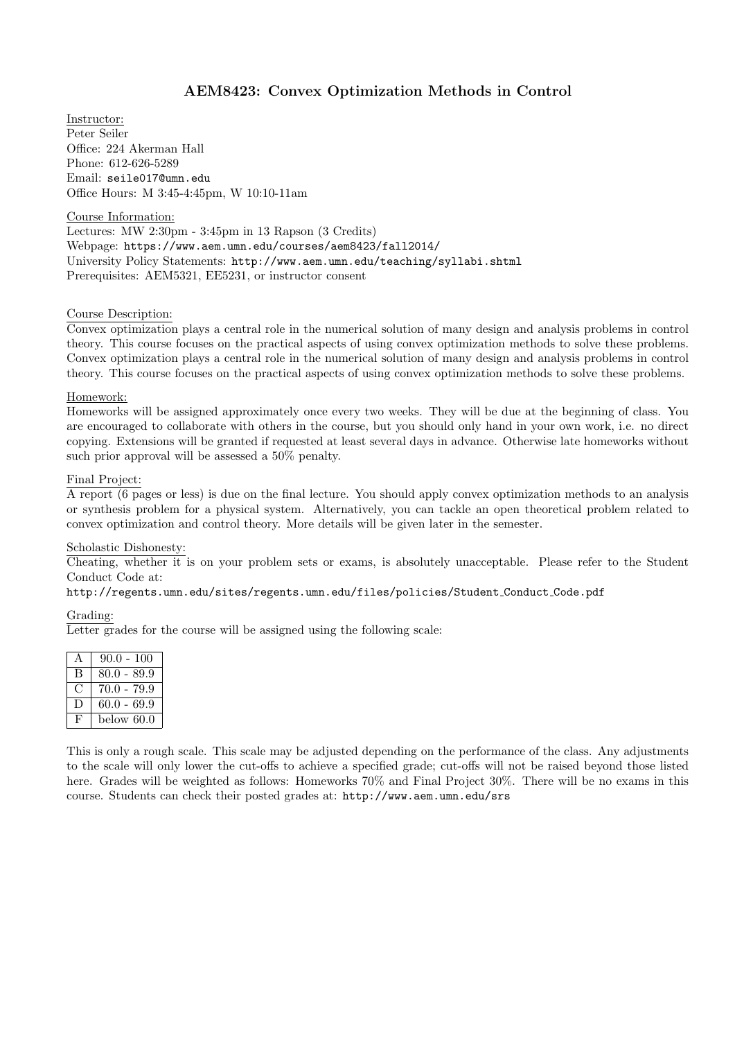# AEM8423: Convex Optimization Methods in Control

Instructor: Peter Seiler Office: 224 Akerman Hall Phone: 612-626-5289 Email: seile017@umn.edu Office Hours: M 3:45-4:45pm, W 10:10-11am

Course Information:

Lectures: MW 2:30pm - 3:45pm in 13 Rapson (3 Credits) Webpage: https://www.aem.umn.edu/courses/aem8423/fall2014/ University Policy Statements: http://www.aem.umn.edu/teaching/syllabi.shtml Prerequisites: AEM5321, EE5231, or instructor consent

### Course Description:

Convex optimization plays a central role in the numerical solution of many design and analysis problems in control theory. This course focuses on the practical aspects of using convex optimization methods to solve these problems. Convex optimization plays a central role in the numerical solution of many design and analysis problems in control theory. This course focuses on the practical aspects of using convex optimization methods to solve these problems.

#### Homework:

Homeworks will be assigned approximately once every two weeks. They will be due at the beginning of class. You are encouraged to collaborate with others in the course, but you should only hand in your own work, i.e. no direct copying. Extensions will be granted if requested at least several days in advance. Otherwise late homeworks without such prior approval will be assessed a 50% penalty.

## Final Project:

A report (6 pages or less) is due on the final lecture. You should apply convex optimization methods to an analysis or synthesis problem for a physical system. Alternatively, you can tackle an open theoretical problem related to convex optimization and control theory. More details will be given later in the semester.

### Scholastic Dishonesty:

Cheating, whether it is on your problem sets or exams, is absolutely unacceptable. Please refer to the Student Conduct Code at:

#### http://regents.umn.edu/sites/regents.umn.edu/files/policies/Student Conduct Code.pdf

#### Grading:

Letter grades for the course will be assigned using the following scale:

|    | $90.0 - 100$  |
|----|---------------|
| В  | $80.0 - 89.9$ |
| t. | $70.0 - 79.9$ |
| Ð  | $60.0 - 69.9$ |
| Ъ, | below 60.0    |

This is only a rough scale. This scale may be adjusted depending on the performance of the class. Any adjustments to the scale will only lower the cut-offs to achieve a specified grade; cut-offs will not be raised beyond those listed here. Grades will be weighted as follows: Homeworks 70% and Final Project 30%. There will be no exams in this course. Students can check their posted grades at: http://www.aem.umn.edu/srs